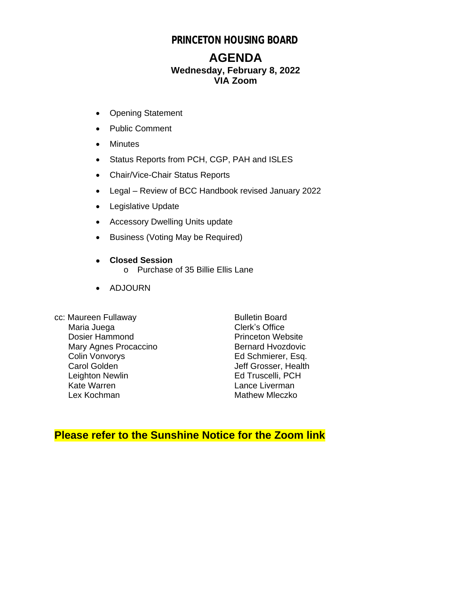## **PRINCETON HOUSING BOARD**

## **AGENDA Wednesday, February 8, 2022 VIA Zoom**

- Opening Statement
- Public Comment
- Minutes
- Status Reports from PCH, CGP, PAH and ISLES
- Chair/Vice-Chair Status Reports
- Legal Review of BCC Handbook revised January 2022
- Legislative Update
- Accessory Dwelling Units update
- Business (Voting May be Required)
- **Closed Session** o Purchase of 35 Billie Ellis Lane
- ADJOURN
- cc: Maureen Fullaway Bulletin Board<br>Maria Juega Bulletin Board<br>Clerk's Office Maria Juega<br>
Dosier Hammond<br>
Dosier Hammond<br>
Clerk's Office Dosier Hammond<br>
Mary Agnes Procaccino<br>
Mary Agnes Procaccino<br>
Pernard Hyozdovic Mary Agnes Procaccino<br>Colin Vonvorys Colin Vonvorys Ed Schmierer, Esq.<br>
Carol Golden Schwierer, Health Leighton Newlin<br>Kate Warren Lex Kochman Mathew Mleczko

Jeff Grosser, Health<br>Ed Truscelli, PCH Lance Liverman

## **Please refer to the Sunshine Notice for the Zoom link**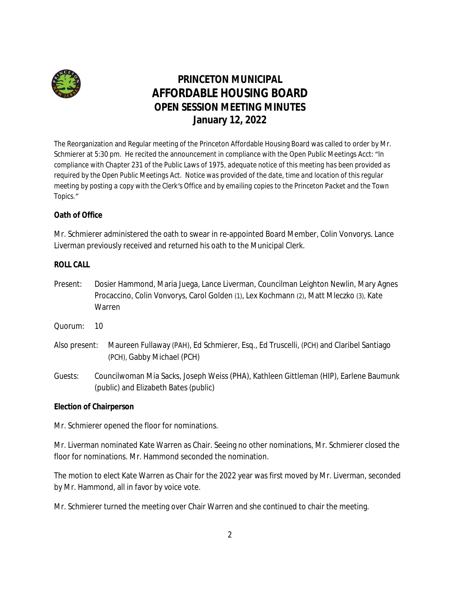

# **PRINCETON MUNICIPAL AFFORDABLE HOUSING BOARD OPEN SESSION MEETING MINUTES January 12, 2022**

The Reorganization and Regular meeting of the Princeton Affordable Housing Board was called to order by Mr. Schmierer at 5:30 pm. He recited the announcement in compliance with the Open Public Meetings Acct: "*In compliance with Chapter 231 of the Public Laws of 1975, adequate notice of this meeting has been provided as required by the Open Public Meetings Act. Notice was provided of the date, time and location of this regular meeting by posting a copy with the Clerk's Office and by emailing copies to the Princeton Packet and the Town Topics."*

## **Oath of Office**

Mr. Schmierer administered the oath to swear in re-appointed Board Member, Colin Vonvorys. Lance Liverman previously received and returned his oath to the Municipal Clerk.

### **ROLL CALL**

- Present: Dosier Hammond, Maria Juega, Lance Liverman, Councilman Leighton Newlin, Mary Agnes Procaccino, Colin Vonvorys, Carol Golden (1), Lex Kochmann (2), Matt Mleczko (3), Kate Warren
- Quorum: 10
- Also present: Maureen Fullaway (PAH), Ed Schmierer, Esq., Ed Truscelli, (PCH) and Claribel Santiago (PCH), Gabby Michael (PCH)
- *Guests*: Councilwoman Mia Sacks, Joseph Weiss (PHA), Kathleen Gittleman (HIP), Earlene Baumunk (public) and Elizabeth Bates (public)

### **Election of Chairperson**

Mr. Schmierer opened the floor for nominations.

Mr. Liverman nominated Kate Warren as Chair. Seeing no other nominations, Mr. Schmierer closed the floor for nominations. Mr. Hammond seconded the nomination.

The motion to elect Kate Warren as Chair for the 2022 year was first moved by Mr. Liverman, seconded by Mr. Hammond, all in favor by voice vote.

Mr. Schmierer turned the meeting over Chair Warren and she continued to chair the meeting.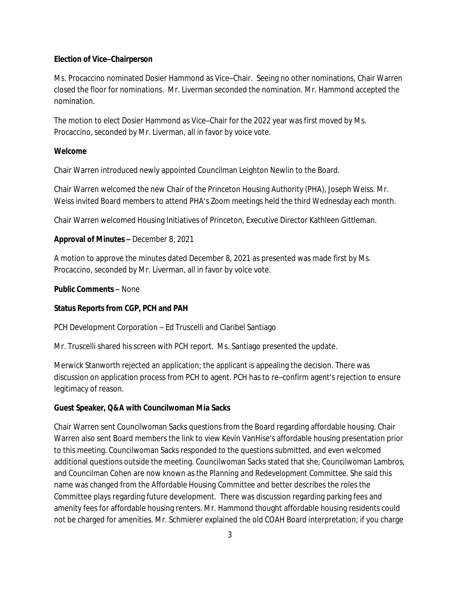#### **Election of Vice–Chairperson**

Ms. Procaccino nominated Dosier Hammond as Vice–Chair. Seeing no other nominations, Chair Warren closed the floor for nominations. Mr. Liverman seconded the nomination. Mr. Hammond accepted the nomination.

The motion to elect Dosier Hammond as Vice–Chair for the 2022 year was first moved by Ms. Procaccino, seconded by Mr. Liverman, all in favor by voice vote.

#### **Welcome**

Chair Warren introduced newly appointed Councilman Leighton Newlin to the Board.

Chair Warren welcomed the new Chair of the Princeton Housing Authority (PHA), Joseph Weiss. Mr. Weiss invited Board members to attend PHA's Zoom meetings held the third Wednesday each month.

Chair Warren welcomed Housing Initiatives of Princeton, Executive Director Kathleen Gittleman.

#### **Approval of Minutes –** December 8, 2021

A motion to approve the minutes dated December 8, 2021 as presented was made first by Ms. Procaccino, seconded by Mr. Liverman, all in favor by voice vote.

#### **Public Comments** – None

#### **Status Reports from CGP, PCH and PAH**

PCH Development Corporation – Ed Truscelli and Claribel Santiago

Mr. Truscelli shared his screen with PCH report. Ms. Santiago presented the update.

Merwick Stanworth rejected an application; the applicant is appealing the decision. There was discussion on application process from PCH to agent. PCH has to re–confirm agent's rejection to ensure legitimacy of reason.

#### **Guest Speaker, Q&A with Councilwoman Mia Sacks**

Chair Warren sent Councilwoman Sacks questions from the Board regarding affordable housing. Chair Warren also sent Board members the link to view Kevin VanHise's affordable housing presentation prior to this meeting. Councilwoman Sacks responded to the questions submitted, and even welcomed additional questions outside the meeting. Councilwoman Sacks stated that she, Councilwoman Lambros, and Councilman Cohen are now known as the *Planning and Redevelopment Committee.* She said this name was changed from the *Affordable Housing Committee* and better describes the roles the Committee plays regarding future development. There was discussion regarding parking fees and amenity fees for affordable housing renters. Mr. Hammond thought affordable housing residents could not be charged for amenities. Mr. Schmierer explained the old COAH Board interpretation; if you charge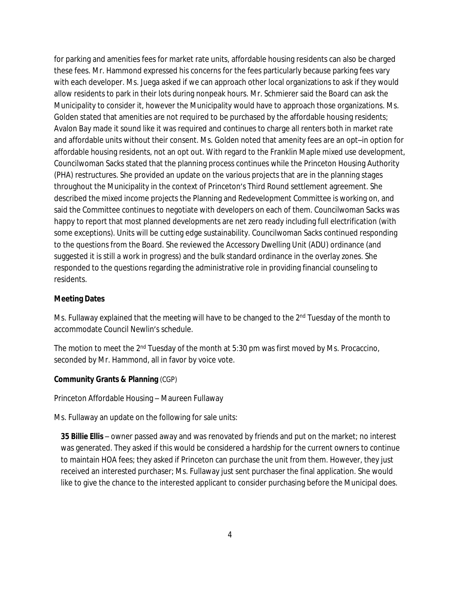for parking and amenities fees for market rate units, affordable housing residents can also be charged these fees. Mr. Hammond expressed his concerns for the fees particularly because parking fees vary with each developer. Ms. Juega asked if we can approach other local organizations to ask if they would allow residents to park in their lots during nonpeak hours. Mr. Schmierer said the Board can ask the Municipality to consider it, however the Municipality would have to approach those organizations. Ms. Golden stated that amenities are not required to be purchased by the affordable housing residents; Avalon Bay made it sound like it was required and continues to charge all renters both in market rate and affordable units without their consent. Ms. Golden noted that amenity fees are an opt–in option for affordable housing residents, not an opt out. With regard to the Franklin Maple mixed use development, Councilwoman Sacks stated that the planning process continues while the Princeton Housing Authority (PHA) restructures. She provided an update on the various projects that are in the planning stages throughout the Municipality in the context of Princeton's Third Round settlement agreement. She described the mixed income projects the Planning and Redevelopment Committee is working on, and said the Committee continues to negotiate with developers on each of them. Councilwoman Sacks was happy to report that most planned developments are net zero ready including full electrification (with some exceptions). Units will be cutting edge sustainability. Councilwoman Sacks continued responding to the questions from the Board. She reviewed the Accessory Dwelling Unit (ADU) ordinance (and suggested it is still a work in progress) and the bulk standard ordinance in the overlay zones. She responded to the questions regarding the administrative role in providing financial counseling to residents.

#### **Meeting Dates**

Ms. Fullaway explained that the meeting will have to be changed to the 2<sup>nd</sup> Tuesday of the month to accommodate Council Newlin's schedule.

The motion to meet the 2<sup>nd</sup> Tuesday of the month at 5:30 pm was first moved by Ms. Procaccino, seconded by Mr. Hammond, all in favor by voice vote.

#### **Community Grants & Planning** (CGP)

Princeton Affordable Housing – Maureen Fullaway

Ms. Fullaway an update on the following for sale units:

*35 Billie Ellis* – owner passed away and was renovated by friends and put on the market; no interest was generated. They asked if this would be considered a hardship for the current owners to continue to maintain HOA fees; they asked if Princeton can purchase the unit from them. However, they just received an interested purchaser; Ms. Fullaway just sent purchaser the final application. She would like to give the chance to the interested applicant to consider purchasing before the Municipal does.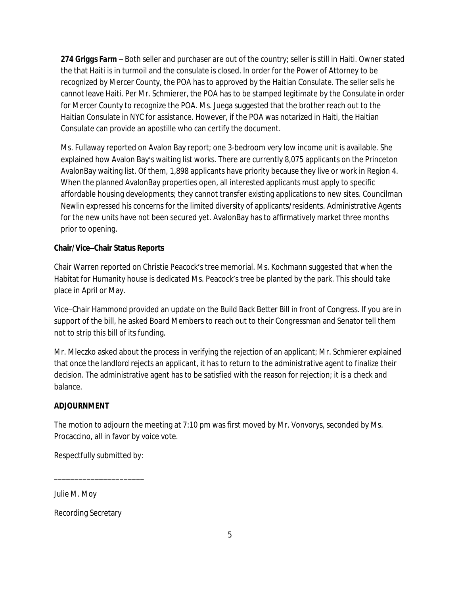*274 Griggs Farm* – Both seller and purchaser are out of the country; seller is still in Haiti. Owner stated the that Haiti is in turmoil and the consulate is closed. In order for the Power of Attorney to be recognized by Mercer County, the POA has to approved by the Haitian Consulate. The seller sells he cannot leave Haiti. Per Mr. Schmierer, the POA has to be stamped legitimate by the Consulate in order for Mercer County to recognize the POA. Ms. Juega suggested that the brother reach out to the Haitian Consulate in NYC for assistance. However, if the POA was notarized in Haiti, the Haitian Consulate can provide an apostille who can certify the document.

Ms. Fullaway reported on Avalon Bay report; one 3-bedroom very low income unit is available. She explained how Avalon Bay's waiting list works. There are currently 8,075 applicants on the Princeton AvalonBay waiting list. Of them, 1,898 applicants have priority because they live or work in Region 4. When the planned AvalonBay properties open, all interested applicants must apply to specific affordable housing developments; they cannot transfer existing applications to new sites. Councilman Newlin expressed his concerns for the limited diversity of applicants/residents. Administrative Agents for the new units have not been secured yet. AvalonBay has to affirmatively market three months prior to opening.

### **Chair/Vice–Chair Status Reports**

Chair Warren reported on Christie Peacock's tree memorial. Ms. Kochmann suggested that when the Habitat for Humanity house is dedicated Ms. Peacock's tree be planted by the park. This should take place in April or May.

Vice–Chair Hammond provided an update on the *Build Back Better Bill* in front of Congress. If you are in support of the bill, he asked Board Members to reach out to their Congressman and Senator tell them not to strip this bill of its funding.

Mr. Mleczko asked about the process in verifying the rejection of an applicant; Mr. Schmierer explained that once the landlord rejects an applicant, it has to return to the administrative agent to finalize their decision. The administrative agent has to be satisfied with the reason for rejection; it is a check and balance.

### **ADJOURNMENT**

The motion to adjourn the meeting at 7:10 pm was first moved by Mr. Vonvorys, seconded by Ms. Procaccino, all in favor by voice vote.

Respectfully submitted by:

\_\_\_\_\_\_\_\_\_\_\_\_\_\_\_\_\_\_\_\_\_\_

*Julie M. Moy*

Recording Secretary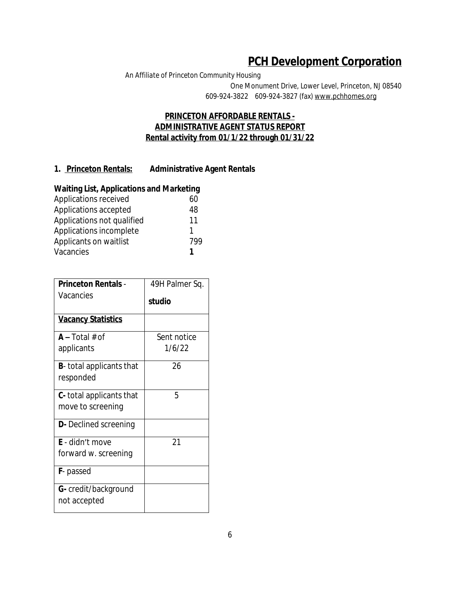# **PCH Development Corporation**

*An Affiliate of Princeton Community Housing* One Monument Drive, Lower Level, Princeton, NJ 08540 609-924-3822 609-924-3827 (fax) www.pchhomes.org

### **PRINCETON AFFORDABLE RENTALS - ADMINISTRATIVE AGENT STATUS REPORT Rental activity from 01/1/22 through 01/31/22**

### **1. Princeton Rentals: Administrative Agent Rentals**

### **Waiting List, Applications and Marketing**

| Applications received      | 60  |
|----------------------------|-----|
| Applications accepted      | 48  |
| Applications not qualified | 11  |
| Applications incomplete    |     |
| Applicants on waitlist     | 799 |
| Vacancies                  |     |
|                            |     |

| <b>Princeton Rentals -</b>       | 49H Palmer Sq. |  |
|----------------------------------|----------------|--|
| Vacancies                        | studio         |  |
| <b>Vacancy Statistics</b>        |                |  |
| $A - Total # of$                 | Sent notice    |  |
| applicants                       | 1/6/22         |  |
| <b>B</b> -total applicants that  | 26             |  |
| responded                        |                |  |
| <b>C</b> - total applicants that | 5              |  |
| move to screening                |                |  |
| <b>D</b> - Declined screening    |                |  |
| E - didn't move                  | 21             |  |
| forward w. screening             |                |  |
| <b>F</b> -passed                 |                |  |
| <b>G</b> - credit/background     |                |  |
| not accepted                     |                |  |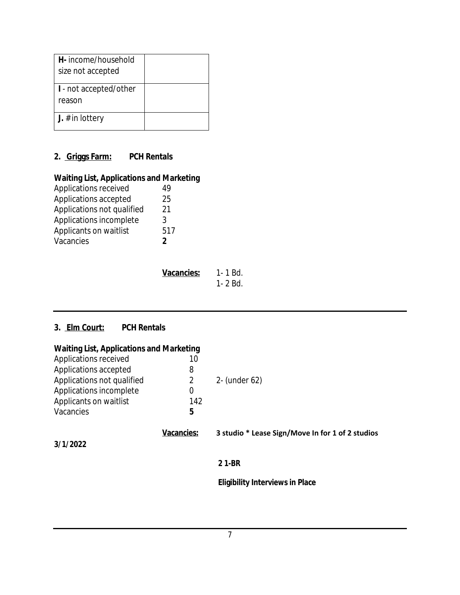| H- income/household<br>size not accepted |  |
|------------------------------------------|--|
| I - not accepted/other<br>reason         |  |
| <b>J.</b> # in lottery                   |  |

## **2. Griggs Farm: PCH Rentals**

## **Waiting List, Applications and Marketing**

| Applications received      | 49            |
|----------------------------|---------------|
| Applications accepted      | 25            |
| Applications not qualified | 21            |
| Applications incomplete    | 3             |
| Applicants on waitlist     | 517           |
| Vacancies                  | $\mathfrak z$ |

| Vacancies: | 1- 1 Bd. |
|------------|----------|
|            | 1- 2 Bd. |

## **3. Elm Court: PCH Rentals**

| <b>Waiting List, Applications and Marketing</b> |                   |                                                  |  |
|-------------------------------------------------|-------------------|--------------------------------------------------|--|
| Applications received                           | 10                |                                                  |  |
| Applications accepted                           | 8                 |                                                  |  |
| Applications not qualified                      | 2                 | 2- (under 62)                                    |  |
| Applications incomplete                         | 0                 |                                                  |  |
| Applicants on waitlist                          | 142               |                                                  |  |
| Vacancies                                       | 5                 |                                                  |  |
|                                                 | <b>Vacancies:</b> | 3 studio * Lease Sign/Move In for 1 of 2 studios |  |
| 3/1/2022                                        |                   |                                                  |  |
|                                                 |                   | 21-BR                                            |  |
|                                                 |                   | <b>Eligibility Interviews in Place</b>           |  |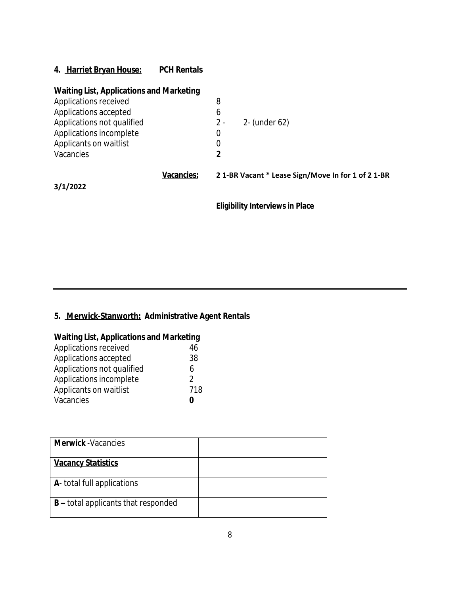**4. Harriet Bryan House: PCH Rentals**

| <b>Waiting List, Applications and Marketing</b> |                   |       |                                                    |
|-------------------------------------------------|-------------------|-------|----------------------------------------------------|
| Applications received                           |                   | 8     |                                                    |
| Applications accepted                           |                   | 6     |                                                    |
| Applications not qualified                      |                   | $2 -$ | 2- (under 62)                                      |
| Applications incomplete                         |                   | 0     |                                                    |
| Applicants on waitlist                          |                   | 0     |                                                    |
| Vacancies                                       |                   | 2     |                                                    |
|                                                 | <b>Vacancies:</b> |       | 2 1-BR Vacant * Lease Sign/Move In for 1 of 2 1-BR |
| 3/1/2022                                        |                   |       |                                                    |
|                                                 |                   |       | <b>Eligibility Interviews in Place</b>             |

# **5. Merwick-Stanworth: Administrative Agent Rentals**

| <b>Waiting List, Applications and Marketing</b> |    |
|-------------------------------------------------|----|
| Applications received                           | 46 |

| <b>TU</b>     |
|---------------|
| 38            |
| 6             |
| $\mathcal{D}$ |
| 718           |
| 0             |
|               |

| <b>Merwick</b> - Vacancies                 |  |
|--------------------------------------------|--|
| <b>Vacancy Statistics</b>                  |  |
| A- total full applications                 |  |
| <b>B</b> – total applicants that responded |  |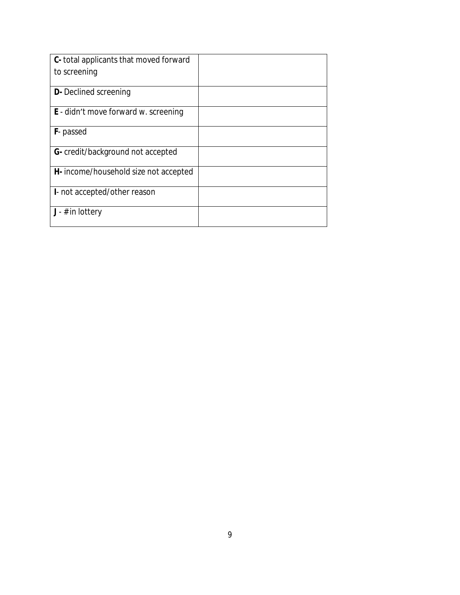| C- total applicants that moved forward      |  |
|---------------------------------------------|--|
| to screening                                |  |
|                                             |  |
| <b>D</b> - Declined screening               |  |
| <b>E</b> - didn't move forward w. screening |  |
| <b>F</b> -passed                            |  |
| G- credit/background not accepted           |  |
| H- income/household size not accepted       |  |
| I- not accepted/other reason                |  |
| $J - #$ in lottery                          |  |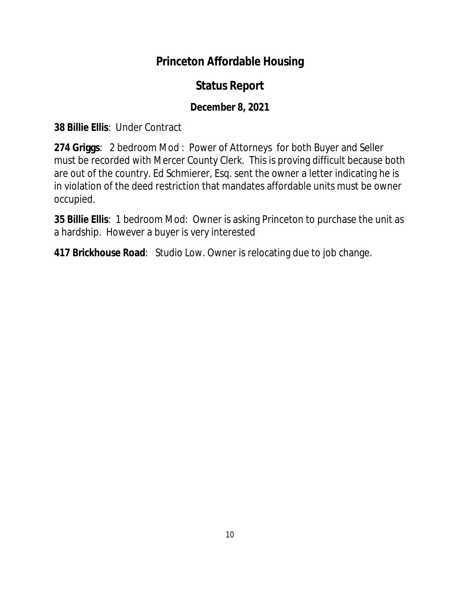# **Princeton Affordable Housing**

# **Status Report**

# **December 8, 2021**

**38 Billie Ellis**: Under Contract

**274 Griggs**: 2 bedroom Mod : Power of Attorneys for both Buyer and Seller must be recorded with Mercer County Clerk. This is proving difficult because both are out of the country. Ed Schmierer, Esq. sent the owner a letter indicating he is in violation of the deed restriction that mandates affordable units must be owner occupied.

**35 Billie Ellis**: 1 bedroom Mod: Owner is asking Princeton to purchase the unit as a hardship. However a buyer is very interested

**417 Brickhouse Road**: Studio Low. Owner is relocating due to job change.